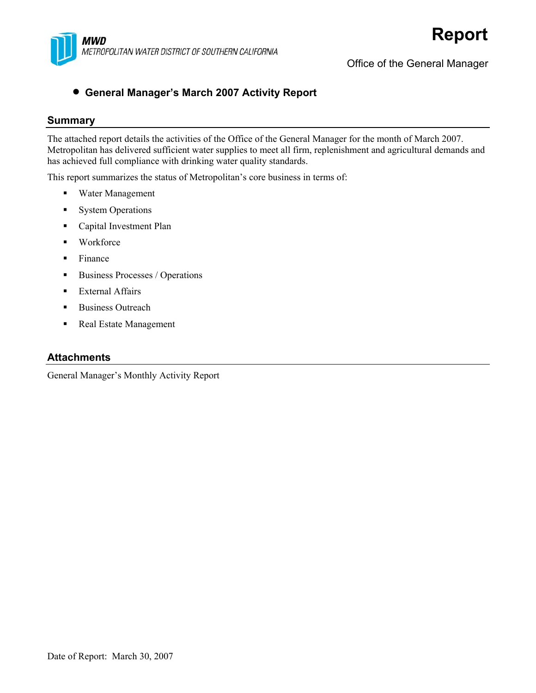

Office of the General Manager

#### • **General Manager's March 2007 Activity Report**

#### **Summary**

The attached report details the activities of the Office of the General Manager for the month of March 2007. Metropolitan has delivered sufficient water supplies to meet all firm, replenishment and agricultural demands and has achieved full compliance with drinking water quality standards.

This report summarizes the status of Metropolitan's core business in terms of:

- Water Management
- **System Operations**
- **Capital Investment Plan**
- **Workforce**
- $\blacksquare$  Finance
- Business Processes / Operations
- **External Affairs**
- **Business Outreach**
- Real Estate Management

#### **Attachments**

General Manager's Monthly Activity Report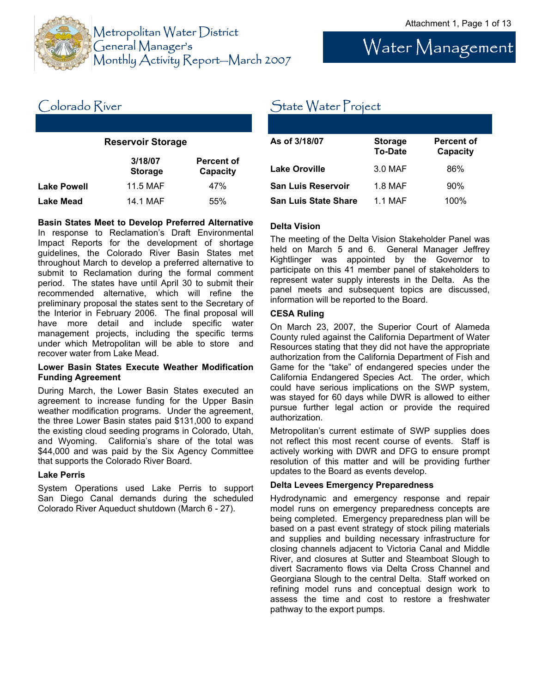

# Water Management

### Colorado River

#### **Reservoir Storage**

|                    | 3/18/07<br><b>Storage</b> | <b>Percent of</b><br>Capacity |
|--------------------|---------------------------|-------------------------------|
| <b>Lake Powell</b> | 11.5 MAF                  | 47%                           |
| Lake Mead          | 14.1 MAF                  | 55%                           |

#### **Basin States Meet to Develop Preferred Alternative**

In response to Reclamation's Draft Environmental Impact Reports for the development of shortage guidelines, the Colorado River Basin States met throughout March to develop a preferred alternative to submit to Reclamation during the formal comment period. The states have until April 30 to submit their recommended alternative, which will refine the preliminary proposal the states sent to the Secretary of the Interior in February 2006. The final proposal will have more detail and include specific water management projects, including the specific terms under which Metropolitan will be able to store and recover water from Lake Mead.

#### **Lower Basin States Execute Weather Modification Funding Agreement**

During March, the Lower Basin States executed an agreement to increase funding for the Upper Basin weather modification programs. Under the agreement, the three Lower Basin states paid \$131,000 to expand the existing cloud seeding programs in Colorado, Utah, and Wyoming. California's share of the total was \$44,000 and was paid by the Six Agency Committee that supports the Colorado River Board.

#### **Lake Perris**

System Operations used Lake Perris to support San Diego Canal demands during the scheduled Colorado River Aqueduct shutdown (March 6 - 27).

### State Water Project

| As of 3/18/07               | <b>Storage</b><br><b>To-Date</b> | <b>Percent of</b><br>Capacity |
|-----------------------------|----------------------------------|-------------------------------|
| <b>Lake Oroville</b>        | 3.0 MAF                          | 86%                           |
| <b>San Luis Reservoir</b>   | 1.8 MAF                          | 90%                           |
| <b>San Luis State Share</b> | 1 1 MAF                          | 100%                          |

#### **Delta Vision**

The meeting of the Delta Vision Stakeholder Panel was held on March 5 and 6. General Manager Jeffrey Kightlinger was appointed by the Governor to participate on this 41 member panel of stakeholders to represent water supply interests in the Delta. As the panel meets and subsequent topics are discussed, information will be reported to the Board.

#### **CESA Ruling**

On March 23, 2007, the Superior Court of Alameda County ruled against the California Department of Water Resources stating that they did not have the appropriate authorization from the California Department of Fish and Game for the "take" of endangered species under the California Endangered Species Act. The order, which could have serious implications on the SWP system, was stayed for 60 days while DWR is allowed to either pursue further legal action or provide the required authorization.

Metropolitan's current estimate of SWP supplies does not reflect this most recent course of events. Staff is actively working with DWR and DFG to ensure prompt resolution of this matter and will be providing further updates to the Board as events develop.

#### **Delta Levees Emergency Preparedness**

Hydrodynamic and emergency response and repair model runs on emergency preparedness concepts are being completed. Emergency preparedness plan will be based on a past event strategy of stock piling materials and supplies and building necessary infrastructure for closing channels adjacent to Victoria Canal and Middle River, and closures at Sutter and Steamboat Slough to divert Sacramento flows via Delta Cross Channel and Georgiana Slough to the central Delta. Staff worked on refining model runs and conceptual design work to assess the time and cost to restore a freshwater pathway to the export pumps.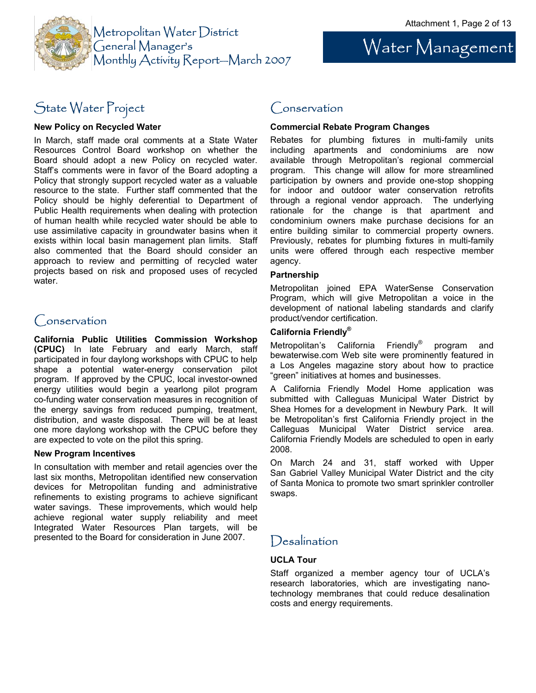

# Water Management

### State Water Project

#### **New Policy on Recycled Water**

In March, staff made oral comments at a State Water Resources Control Board workshop on whether the Board should adopt a new Policy on recycled water. Staff's comments were in favor of the Board adopting a Policy that strongly support recycled water as a valuable resource to the state. Further staff commented that the Policy should be highly deferential to Department of Public Health requirements when dealing with protection of human health while recycled water should be able to use assimilative capacity in groundwater basins when it exists within local basin management plan limits. Staff also commented that the Board should consider an approach to review and permitting of recycled water projects based on risk and proposed uses of recycled water.

#### Conservation

**California Public Utilities Commission Workshop (CPUC)** In late February and early March, staff participated in four daylong workshops with CPUC to help shape a potential water-energy conservation pilot program. If approved by the CPUC, local investor-owned energy utilities would begin a yearlong pilot program co-funding water conservation measures in recognition of the energy savings from reduced pumping, treatment, distribution, and waste disposal. There will be at least one more daylong workshop with the CPUC before they are expected to vote on the pilot this spring.

#### **New Program Incentives**

In consultation with member and retail agencies over the last six months, Metropolitan identified new conservation devices for Metropolitan funding and administrative refinements to existing programs to achieve significant water savings. These improvements, which would help achieve regional water supply reliability and meet Integrated Water Resources Plan targets, will be presented to the Board for consideration in June 2007.

#### Conservation

#### **Commercial Rebate Program Changes**

Rebates for plumbing fixtures in multi-family units including apartments and condominiums are now available through Metropolitan's regional commercial program. This change will allow for more streamlined participation by owners and provide one-stop shopping for indoor and outdoor water conservation retrofits through a regional vendor approach. The underlying rationale for the change is that apartment and condominium owners make purchase decisions for an entire building similar to commercial property owners. Previously, rebates for plumbing fixtures in multi-family units were offered through each respective member agency.

#### **Partnership**

Metropolitan joined EPA WaterSense Conservation Program, which will give Metropolitan a voice in the development of national labeling standards and clarify product/vendor certification.

#### **California Friendly®**

Metropolitan's California Friendly® program and bewaterwise.com Web site were prominently featured in a Los Angeles magazine story about how to practice "green" initiatives at homes and businesses.

A California Friendly Model Home application was submitted with Calleguas Municipal Water District by Shea Homes for a development in Newbury Park. It will be Metropolitan's first California Friendly project in the Calleguas Municipal Water District service area. California Friendly Models are scheduled to open in early 2008.

On March 24 and 31, staff worked with Upper San Gabriel Valley Municipal Water District and the city of Santa Monica to promote two smart sprinkler controller swaps.

### **Desalination**

#### **UCLA Tour**

Staff organized a member agency tour of UCLA's research laboratories, which are investigating nanotechnology membranes that could reduce desalination costs and energy requirements.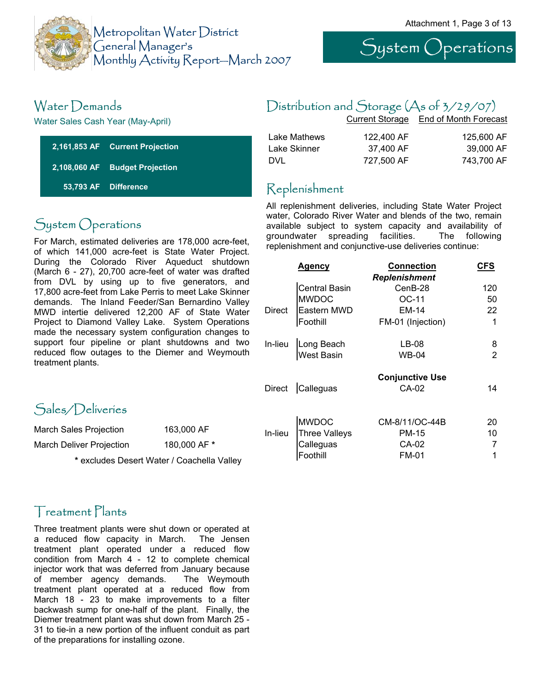





### Water Demands

Water Sales Cash Year (May-April)

| 2,161,853 AF Current Projection |
|---------------------------------|
| 2,108,060 AF Budget Projection  |
| 53,793 AF Difference            |

### System Operations

For March, estimated deliveries are 178,000 acre-feet, of which 141,000 acre-feet is State Water Project. During the Colorado River Aqueduct shutdown (March 6 - 27), 20,700 acre-feet of water was drafted from DVL by using up to five generators, and 17,800 acre-feet from Lake Perris to meet Lake Skinner demands. The Inland Feeder/San Bernardino Valley MWD intertie delivered 12,200 AF of State Water Project to Diamond Valley Lake. System Operations made the necessary system configuration changes to support four pipeline or plant shutdowns and two reduced flow outages to the Diemer and Weymouth treatment plants.

### Sales/Deliveries

| March Sales Projection   | 163,000 AF   |
|--------------------------|--------------|
| March Deliver Projection | 180,000 AF * |

**\*** excludes Desert Water / Coachella Valley

### Treatment Plants

Three treatment plants were shut down or operated at a reduced flow capacity in March. The Jensen treatment plant operated under a reduced flow condition from March 4 - 12 to complete chemical injector work that was deferred from January because of member agency demands. The Weymouth treatment plant operated at a reduced flow from March 18 - 23 to make improvements to a filter backwash sump for one-half of the plant. Finally, the Diemer treatment plant was shut down from March 25 - 31 to tie-in a new portion of the influent conduit as part of the preparations for installing ozone.

### Distribution and Storage (As of 3/29/07)

|              | <b>Current Storage</b> | End of Month Forecast |
|--------------|------------------------|-----------------------|
| Lake Mathews | 122,400 AF             | 125,600 AF            |
| Lake Skinner | 37.400 AF              | 39,000 AF             |
| DVL          | 727,500 AF             | 743,700 AF            |

### Replenishment

All replenishment deliveries, including State Water Project water, Colorado River Water and blends of the two, remain available subject to system capacity and availability of groundwater spreading facilities. The following replenishment and conjunctive-use deliveries continue:

|         | Agency               | <b>Connection</b>      | <b>CFS</b> |
|---------|----------------------|------------------------|------------|
|         |                      | <b>Replenishment</b>   |            |
|         | <b>Central Basin</b> | CenB-28                | 120        |
|         | <b>MWDOC</b>         | OC-11                  | 50         |
| Direct  | Eastern MWD          | EM-14                  | 22         |
|         | Foothill             | FM-01 (Injection)      | 1          |
| In-lieu | Long Beach           | LB-08                  | 8          |
|         | West Basin           | WB-04                  | 2          |
|         |                      | <b>Conjunctive Use</b> |            |
| Direct  | Calleguas            | CA-02                  | 14         |
|         |                      |                        |            |
|         | <b>MWDOC</b>         | CM-8/11/OC-44B         | 20         |
| In-lieu | <b>Three Valleys</b> | PM-15                  | 10         |
|         | Calleguas            | CA-02                  |            |
|         | Foothill             | <b>FM-01</b>           | 1          |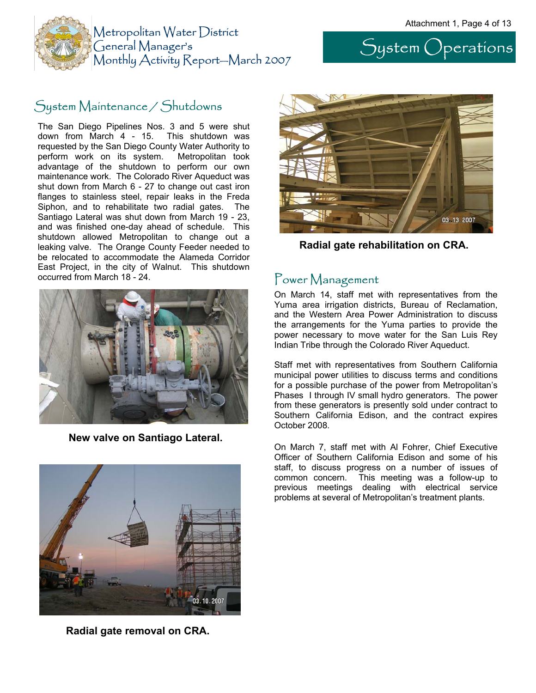



### System Maintenance / Shutdowns

The San Diego Pipelines Nos. 3 and 5 were shut down from March 4 - 15. This shutdown was requested by the San Diego County Water Authority to perform work on its system. Metropolitan took advantage of the shutdown to perform our own maintenance work. The Colorado River Aqueduct was shut down from March 6 - 27 to change out cast iron flanges to stainless steel, repair leaks in the Freda Siphon, and to rehabilitate two radial gates. The Santiago Lateral was shut down from March 19 - 23, and was finished one-day ahead of schedule. This shutdown allowed Metropolitan to change out a leaking valve. The Orange County Feeder needed to be relocated to accommodate the Alameda Corridor East Project, in the city of Walnut. This shutdown occurred from March 18 - 24.



**New valve on Santiago Lateral.** 



**Radial gate removal on CRA.** 



**Radial gate rehabilitation on CRA.** 

#### Power Management

On March 14, staff met with representatives from the Yuma area irrigation districts, Bureau of Reclamation, and the Western Area Power Administration to discuss the arrangements for the Yuma parties to provide the power necessary to move water for the San Luis Rey Indian Tribe through the Colorado River Aqueduct.

Staff met with representatives from Southern California municipal power utilities to discuss terms and conditions for a possible purchase of the power from Metropolitan's Phases I through IV small hydro generators. The power from these generators is presently sold under contract to Southern California Edison, and the contract expires October 2008.

On March 7, staff met with Al Fohrer, Chief Executive Officer of Southern California Edison and some of his staff, to discuss progress on a number of issues of common concern. This meeting was a follow-up to previous meetings dealing with electrical service problems at several of Metropolitan's treatment plants.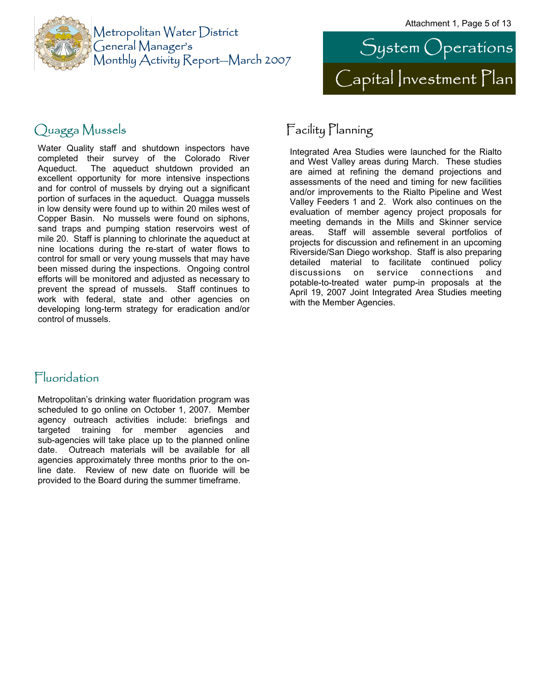



### Quagga Mussels

Water Quality staff and shutdown inspectors have completed their survey of the Colorado River Aqueduct. The aqueduct shutdown provided an excellent opportunity for more intensive inspections and for control of mussels by drying out a significant portion of surfaces in the aqueduct. Quagga mussels in low density were found up to within 20 miles west of Copper Basin. No mussels were found on siphons, sand traps and pumping station reservoirs west of mile 20. Staff is planning to chlorinate the aqueduct at nine locations during the re-start of water flows to control for small or very young mussels that may have been missed during the inspections. Ongoing control efforts will be monitored and adjusted as necessary to prevent the spread of mussels. Staff continues to work with federal, state and other agencies on developing long-term strategy for eradication and/or control of mussels.

### Fluoridation

Metropolitan's drinking water fluoridation program was scheduled to go online on October 1, 2007. Member agency outreach activities include: briefings and targeted training for member agencies and sub-agencies will take place up to the planned online date. Outreach materials will be available for all agencies approximately three months prior to the online date. Review of new date on fluoride will be provided to the Board during the summer timeframe.

### Facility Planning

Integrated Area Studies were launched for the Rialto and West Valley areas during March. These studies are aimed at refining the demand projections and assessments of the need and timing for new facilities and/or improvements to the Rialto Pipeline and West Valley Feeders 1 and 2. Work also continues on the evaluation of member agency project proposals for meeting demands in the Mills and Skinner service areas. Staff will assemble several portfolios of projects for discussion and refinement in an upcoming Riverside/San Diego workshop. Staff is also preparing detailed material to facilitate continued policy discussions on service connections and potable-to-treated water pump-in proposals at the April 19, 2007 Joint Integrated Area Studies meeting with the Member Agencies.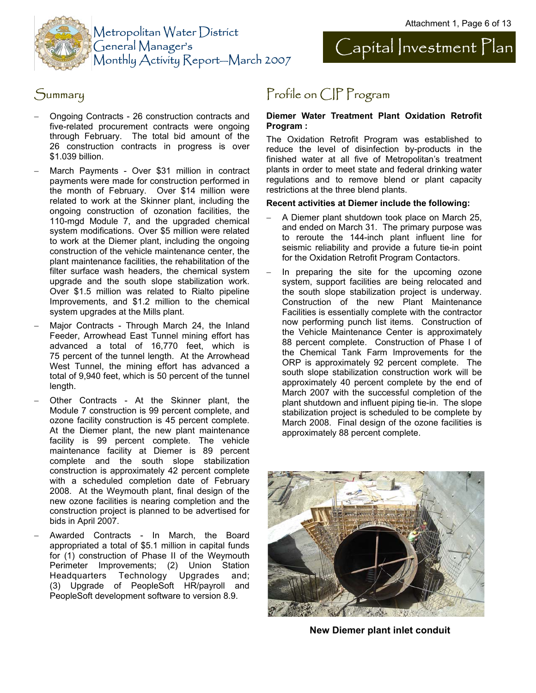



- − Ongoing Contracts 26 construction contracts and five-related procurement contracts were ongoing through February. The total bid amount of the 26 construction contracts in progress is over \$1.039 billion.
- March Payments Over \$31 million in contract payments were made for construction performed in the month of February. Over \$14 million were related to work at the Skinner plant, including the ongoing construction of ozonation facilities, the 110-mgd Module 7, and the upgraded chemical system modifications. Over \$5 million were related to work at the Diemer plant, including the ongoing construction of the vehicle maintenance center, the plant maintenance facilities, the rehabilitation of the filter surface wash headers, the chemical system upgrade and the south slope stabilization work. Over \$1.5 million was related to Rialto pipeline Improvements, and \$1.2 million to the chemical system upgrades at the Mills plant.
- Major Contracts Through March 24, the Inland Feeder, Arrowhead East Tunnel mining effort has advanced a total of 16,770 feet, which is 75 percent of the tunnel length. At the Arrowhead West Tunnel, the mining effort has advanced a total of 9,940 feet, which is 50 percent of the tunnel length.
- Other Contracts At the Skinner plant, the Module 7 construction is 99 percent complete, and ozone facility construction is 45 percent complete. At the Diemer plant, the new plant maintenance facility is 99 percent complete. The vehicle maintenance facility at Diemer is 89 percent complete and the south slope stabilization construction is approximately 42 percent complete with a scheduled completion date of February 2008. At the Weymouth plant, final design of the new ozone facilities is nearing completion and the construction project is planned to be advertised for bids in April 2007.
- − Awarded Contracts In March, the Board appropriated a total of \$5.1 million in capital funds for (1) construction of Phase II of the Weymouth Perimeter Improvements; (2) Union Station Headquarters Technology Upgrades and; (3) Upgrade of PeopleSoft HR/payroll and PeopleSoft development software to version 8.9.

### Summary **Profile on CIP Program**

#### **Diemer Water Treatment Plant Oxidation Retrofit Program :**

The Oxidation Retrofit Program was established to reduce the level of disinfection by-products in the finished water at all five of Metropolitan's treatment plants in order to meet state and federal drinking water regulations and to remove blend or plant capacity restrictions at the three blend plants.

#### **Recent activities at Diemer include the following:**

- − A Diemer plant shutdown took place on March 25, and ended on March 31. The primary purpose was to reroute the 144-inch plant influent line for seismic reliability and provide a future tie-in point for the Oxidation Retrofit Program Contactors.
- In preparing the site for the upcoming ozone system, support facilities are being relocated and the south slope stabilization project is underway. Construction of the new Plant Maintenance Facilities is essentially complete with the contractor now performing punch list items. Construction of the Vehicle Maintenance Center is approximately 88 percent complete. Construction of Phase I of the Chemical Tank Farm Improvements for the ORP is approximately 92 percent complete. The south slope stabilization construction work will be approximately 40 percent complete by the end of March 2007 with the successful completion of the plant shutdown and influent piping tie-in. The slope stabilization project is scheduled to be complete by March 2008. Final design of the ozone facilities is approximately 88 percent complete.



**New Diemer plant inlet conduit**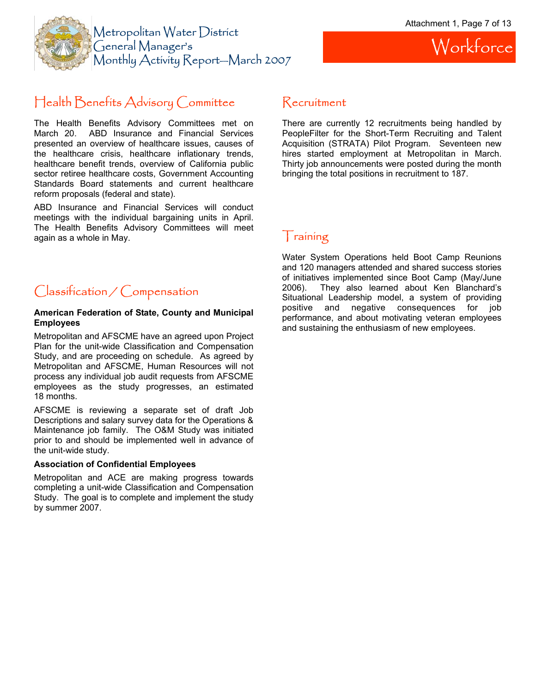

### Health Benefits Advisory Committee

The Health Benefits Advisory Committees met on March 20. ABD Insurance and Financial Services presented an overview of healthcare issues, causes of the healthcare crisis, healthcare inflationary trends, healthcare benefit trends, overview of California public sector retiree healthcare costs, Government Accounting Standards Board statements and current healthcare reform proposals (federal and state).

ABD Insurance and Financial Services will conduct meetings with the individual bargaining units in April. The Health Benefits Advisory Committees will meet again as a whole in May.

#### Recruitment

There are currently 12 recruitments being handled by PeopleFilter for the Short-Term Recruiting and Talent Acquisition (STRATA) Pilot Program. Seventeen new hires started employment at Metropolitan in March. Thirty job announcements were posted during the month bringing the total positions in recruitment to 187.

### Training

Water System Operations held Boot Camp Reunions and 120 managers attended and shared success stories of initiatives implemented since Boot Camp (May/June 2006). They also learned about Ken Blanchard's Situational Leadership model, a system of providing positive and negative consequences for job performance, and about motivating veteran employees and sustaining the enthusiasm of new employees.

### Classification / Compensation

#### **American Federation of State, County and Municipal Employees**

Metropolitan and AFSCME have an agreed upon Project Plan for the unit-wide Classification and Compensation Study, and are proceeding on schedule. As agreed by Metropolitan and AFSCME, Human Resources will not process any individual job audit requests from AFSCME employees as the study progresses, an estimated 18 months.

AFSCME is reviewing a separate set of draft Job Descriptions and salary survey data for the Operations & Maintenance job family. The O&M Study was initiated prior to and should be implemented well in advance of the unit-wide study.

#### **Association of Confidential Employees**

Metropolitan and ACE are making progress towards completing a unit-wide Classification and Compensation Study. The goal is to complete and implement the study by summer 2007.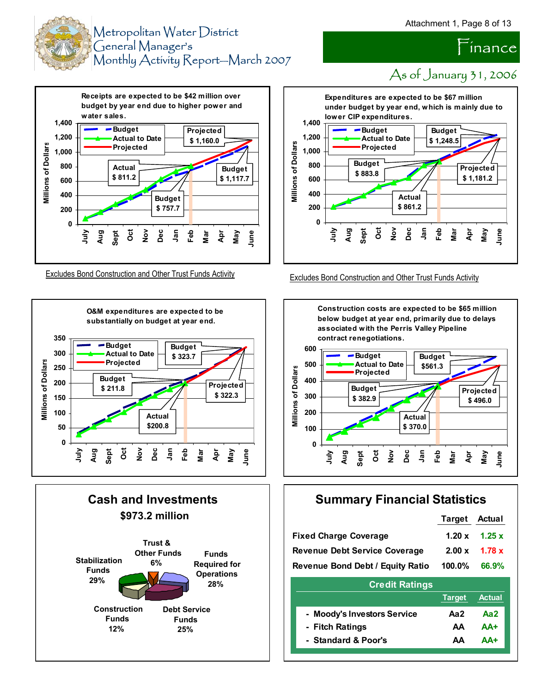As of January 31, 2006

 $\tilde{}$ ínance





Excludes Bond Construction and Other Trust Funds Activity Excludes Bond Construction and Other Trust Funds Activity









#### **Summary Financial Statistics**

| <b>Target</b> | Actual        |
|---------------|---------------|
| 1.20x         | 1.25x         |
| 2.00 x        | 1.78 x        |
| $100.0\%$     | 66.9%         |
|               |               |
| <b>Target</b> | <b>Actual</b> |
| Aa2           | Aa2           |
| AΑ            | $AA+$         |
| AΑ            | ΔΔ+           |
|               |               |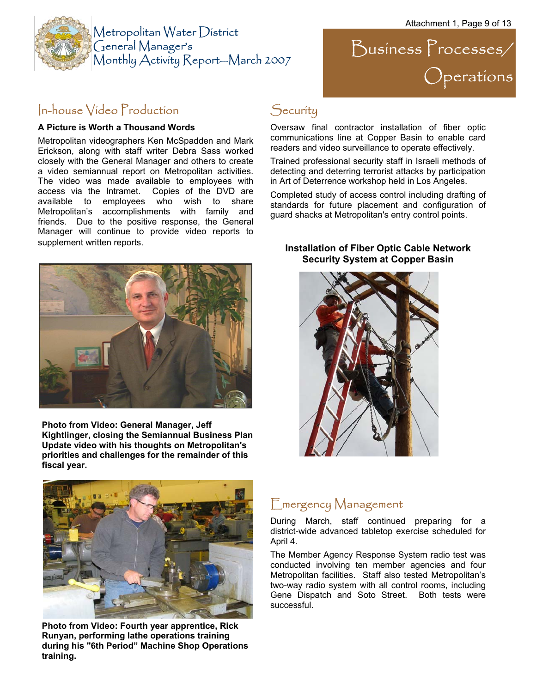

# Business Processes/ Operations

### In-house Video Production

#### **A Picture is Worth a Thousand Words**

Metropolitan videographers Ken McSpadden and Mark Erickson, along with staff writer Debra Sass worked closely with the General Manager and others to create a video semiannual report on Metropolitan activities. The video was made available to employees with access via the Intramet. Copies of the DVD are available to employees who wish to share Metropolitan's accomplishments with family and friends. Due to the positive response, the General Manager will continue to provide video reports to supplement written reports.



**Photo from Video: General Manager, Jeff Kightlinger, closing the Semiannual Business Plan Update video with his thoughts on Metropolitan's priorities and challenges for the remainder of this fiscal year.** 



**Photo from Video: Fourth year apprentice, Rick Runyan, performing lathe operations training during his "6th Period" Machine Shop Operations training.** 

### **Security**

Oversaw final contractor installation of fiber optic communications line at Copper Basin to enable card readers and video surveillance to operate effectively.

Trained professional security staff in Israeli methods of detecting and deterring terrorist attacks by participation in Art of Deterrence workshop held in Los Angeles.

Completed study of access control including drafting of standards for future placement and configuration of guard shacks at Metropolitan's entry control points.

#### **Installation of Fiber Optic Cable Network Security System at Copper Basin**



### Emergency Management

During March, staff continued preparing for a district-wide advanced tabletop exercise scheduled for April 4.

The Member Agency Response System radio test was conducted involving ten member agencies and four Metropolitan facilities. Staff also tested Metropolitan's two-way radio system with all control rooms, including Gene Dispatch and Soto Street. Both tests were successful.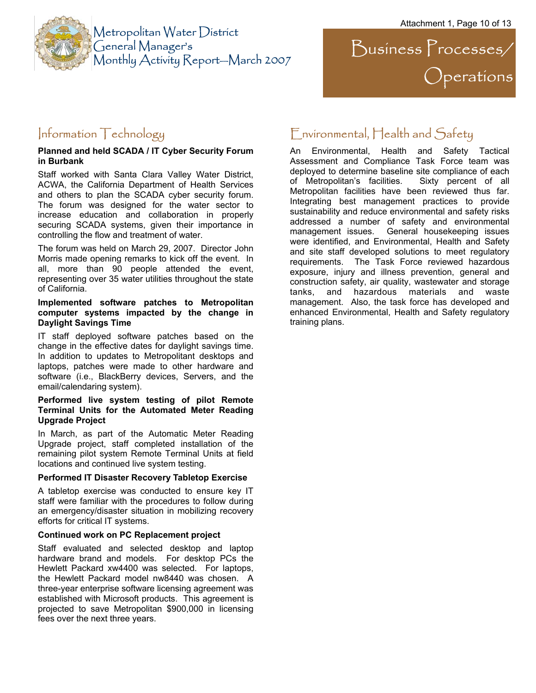

 $\sum$ usiness  $\sum$ rocesses/ Operations

#### Information Technology

#### **Planned and held SCADA / IT Cyber Security Forum in Burbank**

Staff worked with Santa Clara Valley Water District, ACWA, the California Department of Health Services and others to plan the SCADA cyber security forum. The forum was designed for the water sector to increase education and collaboration in properly securing SCADA systems, given their importance in controlling the flow and treatment of water.

The forum was held on March 29, 2007. Director John Morris made opening remarks to kick off the event. In all, more than 90 people attended the event, representing over 35 water utilities throughout the state of California.

#### **Implemented software patches to Metropolitan computer systems impacted by the change in Daylight Savings Time**

IT staff deployed software patches based on the change in the effective dates for daylight savings time. In addition to updates to Metropolitant desktops and laptops, patches were made to other hardware and software (i.e., BlackBerry devices, Servers, and the email/calendaring system).

#### **Performed live system testing of pilot Remote Terminal Units for the Automated Meter Reading Upgrade Project**

In March, as part of the Automatic Meter Reading Upgrade project, staff completed installation of the remaining pilot system Remote Terminal Units at field locations and continued live system testing.

#### **Performed IT Disaster Recovery Tabletop Exercise**

A tabletop exercise was conducted to ensure key IT staff were familiar with the procedures to follow during an emergency/disaster situation in mobilizing recovery efforts for critical IT systems.

#### **Continued work on PC Replacement project**

Staff evaluated and selected desktop and laptop hardware brand and models. For desktop PCs the Hewlett Packard xw4400 was selected. For laptops, the Hewlett Packard model nw8440 was chosen. A three-year enterprise software licensing agreement was established with Microsoft products. This agreement is projected to save Metropolitan \$900,000 in licensing fees over the next three years.

### Environmental, Health and Safety

An Environmental, Health and Safety Tactical Assessment and Compliance Task Force team was deployed to determine baseline site compliance of each of Metropolitan's facilities. Sixty percent of all Metropolitan facilities have been reviewed thus far. Integrating best management practices to provide sustainability and reduce environmental and safety risks addressed a number of safety and environmental management issues. General housekeeping issues were identified, and Environmental, Health and Safety and site staff developed solutions to meet regulatory requirements. The Task Force reviewed hazardous exposure, injury and illness prevention, general and construction safety, air quality, wastewater and storage tanks, and hazardous materials and waste management. Also, the task force has developed and enhanced Environmental, Health and Safety regulatory training plans.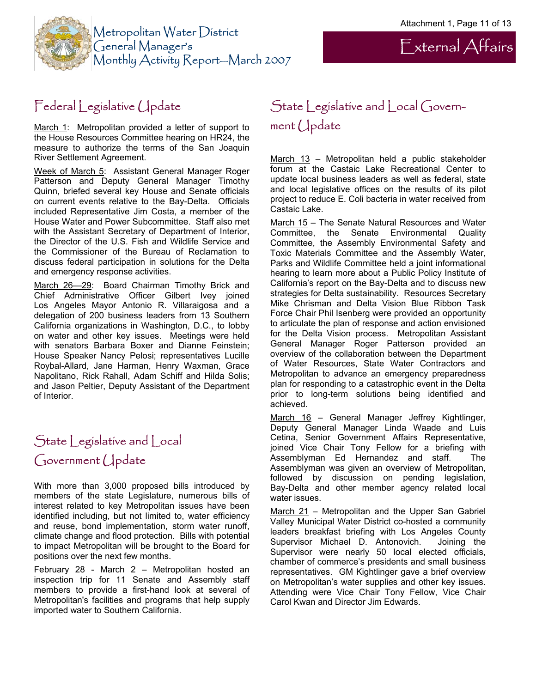External Affairs



### Federal Legislative Update

March 1: Metropolitan provided a letter of support to the House Resources Committee hearing on HR24, the measure to authorize the terms of the San Joaquin River Settlement Agreement.

Week of March 5: Assistant General Manager Roger Patterson and Deputy General Manager Timothy Quinn, briefed several key House and Senate officials on current events relative to the Bay-Delta. Officials included Representative Jim Costa, a member of the House Water and Power Subcommittee. Staff also met with the Assistant Secretary of Department of Interior, the Director of the U.S. Fish and Wildlife Service and the Commissioner of the Bureau of Reclamation to discuss federal participation in solutions for the Delta and emergency response activities.

March 26—29: Board Chairman Timothy Brick and Chief Administrative Officer Gilbert Ivey joined Los Angeles Mayor Antonio R. Villaraigosa and a delegation of 200 business leaders from 13 Southern California organizations in Washington, D.C., to lobby on water and other key issues. Meetings were held with senators Barbara Boxer and Dianne Feinstein; House Speaker Nancy Pelosi; representatives Lucille Roybal-Allard, Jane Harman, Henry Waxman, Grace Napolitano, Rick Rahall, Adam Schiff and Hilda Solis; and Jason Peltier, Deputy Assistant of the Department of Interior.

## State Legislative and Local Government Update

With more than 3,000 proposed bills introduced by members of the state Legislature, numerous bills of interest related to key Metropolitan issues have been identified including, but not limited to, water efficiency and reuse, bond implementation, storm water runoff, climate change and flood protection. Bills with potential to impact Metropolitan will be brought to the Board for positions over the next few months.

February 28 - March 2 – Metropolitan hosted an inspection trip for 11 Senate and Assembly staff members to provide a first-hand look at several of Metropolitan's facilities and programs that help supply imported water to Southern California.

### State Legislative and Local Government Update

March  $13$  – Metropolitan held a public stakeholder forum at the Castaic Lake Recreational Center to update local business leaders as well as federal, state and local legislative offices on the results of its pilot project to reduce E. Coli bacteria in water received from Castaic Lake.

March 15 – The Senate Natural Resources and Water Committee, the Senate Environmental Quality Committee, the Assembly Environmental Safety and Toxic Materials Committee and the Assembly Water, Parks and Wildlife Committee held a joint informational hearing to learn more about a Public Policy Institute of California's report on the Bay-Delta and to discuss new strategies for Delta sustainability. Resources Secretary Mike Chrisman and Delta Vision Blue Ribbon Task Force Chair Phil Isenberg were provided an opportunity to articulate the plan of response and action envisioned for the Delta Vision process. Metropolitan Assistant General Manager Roger Patterson provided an overview of the collaboration between the Department of Water Resources, State Water Contractors and Metropolitan to advance an emergency preparedness plan for responding to a catastrophic event in the Delta prior to long-term solutions being identified and achieved.

March 16 – General Manager Jeffrey Kightlinger, Deputy General Manager Linda Waade and Luis Cetina, Senior Government Affairs Representative, joined Vice Chair Tony Fellow for a briefing with Assemblyman Ed Hernandez and staff. The Assemblyman was given an overview of Metropolitan, followed by discussion on pending legislation, Bay-Delta and other member agency related local water issues.

March 21 – Metropolitan and the Upper San Gabriel Valley Municipal Water District co-hosted a community leaders breakfast briefing with Los Angeles County Supervisor Michael D. Antonovich. Joining the Supervisor were nearly 50 local elected officials, chamber of commerce's presidents and small business representatives. GM Kightlinger gave a brief overview on Metropolitan's water supplies and other key issues. Attending were Vice Chair Tony Fellow, Vice Chair Carol Kwan and Director Jim Edwards.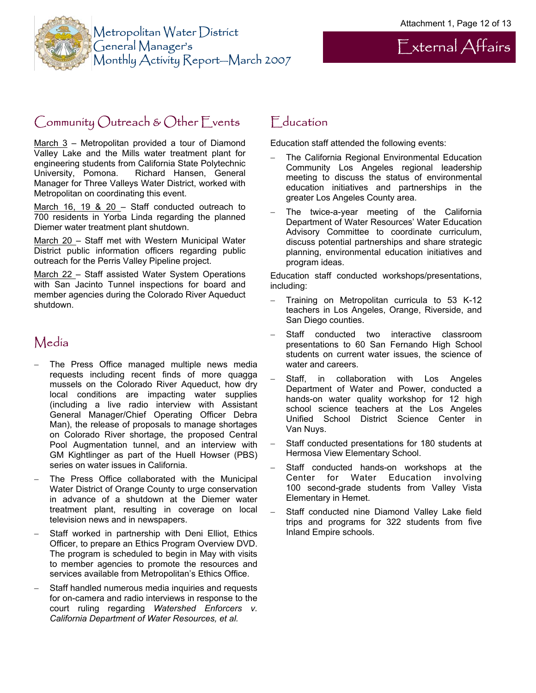

## External Affairs

### Community Outreach & Other Events

March  $3$  – Metropolitan provided a tour of Diamond Valley Lake and the Mills water treatment plant for engineering students from California State Polytechnic University, Pomona. Richard Hansen, General Manager for Three Valleys Water District, worked with Metropolitan on coordinating this event.

March 16, 19 & 20 - Staff conducted outreach to 700 residents in Yorba Linda regarding the planned Diemer water treatment plant shutdown.

March 20 - Staff met with Western Municipal Water District public information officers regarding public outreach for the Perris Valley Pipeline project.

March 22 - Staff assisted Water System Operations with San Jacinto Tunnel inspections for board and member agencies during the Colorado River Aqueduct shutdown.

### Media

- The Press Office managed multiple news media requests including recent finds of more quagga mussels on the Colorado River Aqueduct, how dry local conditions are impacting water supplies (including a live radio interview with Assistant General Manager/Chief Operating Officer Debra Man), the release of proposals to manage shortages on Colorado River shortage, the proposed Central Pool Augmentation tunnel, and an interview with GM Kightlinger as part of the Huell Howser (PBS) series on water issues in California.
- The Press Office collaborated with the Municipal Water District of Orange County to urge conservation in advance of a shutdown at the Diemer water treatment plant, resulting in coverage on local television news and in newspapers.
- Staff worked in partnership with Deni Elliot, Ethics Officer, to prepare an Ethics Program Overview DVD. The program is scheduled to begin in May with visits to member agencies to promote the resources and services available from Metropolitan's Ethics Office.
- Staff handled numerous media inquiries and requests for on-camera and radio interviews in response to the court ruling regarding *Watershed Enforcers v. California Department of Water Resources, et al.*

### **F**<sub>ducation</sub>

Education staff attended the following events:

- The California Regional Environmental Education Community Los Angeles regional leadership meeting to discuss the status of environmental education initiatives and partnerships in the greater Los Angeles County area.
- The twice-a-year meeting of the California Department of Water Resources' Water Education Advisory Committee to coordinate curriculum, discuss potential partnerships and share strategic planning, environmental education initiatives and program ideas.

Education staff conducted workshops/presentations, including:

- − Training on Metropolitan curricula to 53 K-12 teachers in Los Angeles, Orange, Riverside, and San Diego counties.
- Staff conducted two interactive classroom presentations to 60 San Fernando High School students on current water issues, the science of water and careers.
- Staff, in collaboration with Los Angeles Department of Water and Power, conducted a hands-on water quality workshop for 12 high school science teachers at the Los Angeles Unified School District Science Center in Van Nuys.
- Staff conducted presentations for 180 students at Hermosa View Elementary School.
- Staff conducted hands-on workshops at the Center for Water Education involving 100 second-grade students from Valley Vista Elementary in Hemet.
- − Staff conducted nine Diamond Valley Lake field trips and programs for 322 students from five Inland Empire schools.